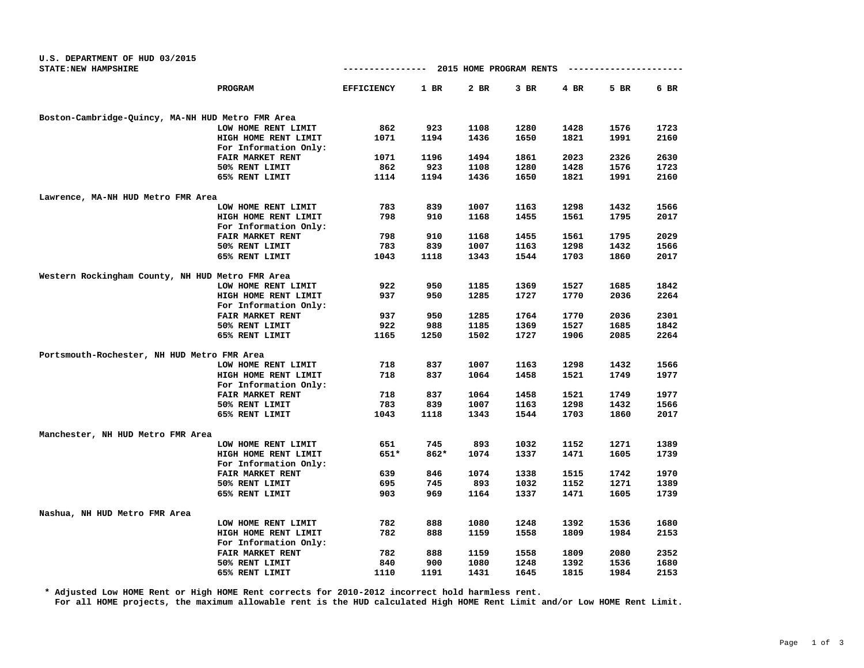| U.S. DEPARTMENT OF HUD 03/2015                    |                   |        |      |                         |        |                  |      |
|---------------------------------------------------|-------------------|--------|------|-------------------------|--------|------------------|------|
| STATE: NEW HAMPSHIRE                              | ----------------  |        |      | 2015 HOME PROGRAM RENTS |        | ---------------- |      |
| PROGRAM                                           | <b>EFFICIENCY</b> | $1$ BR | 2 BR | $3$ BR                  | $4$ BR | 5 BR             | 6 BR |
| Boston-Cambridge-Quincy, MA-NH HUD Metro FMR Area |                   |        |      |                         |        |                  |      |
| LOW HOME RENT LIMIT                               | 862               | 923    | 1108 | 1280                    | 1428   | 1576             | 1723 |
| HIGH HOME RENT LIMIT                              | 1071              | 1194   | 1436 | 1650                    | 1821   | 1991             | 2160 |
| For Information Only:                             |                   |        |      |                         |        |                  |      |
| FAIR MARKET RENT                                  | 1071              | 1196   | 1494 | 1861                    | 2023   | 2326             | 2630 |
| 50% RENT LIMIT                                    | 862               | 923    | 1108 | 1280                    | 1428   | 1576             | 1723 |
| 65% RENT LIMIT                                    | 1114              | 1194   | 1436 | 1650                    | 1821   | 1991             | 2160 |
| Lawrence, MA-NH HUD Metro FMR Area                |                   |        |      |                         |        |                  |      |
| LOW HOME RENT LIMIT                               | 783               | 839    | 1007 | 1163                    | 1298   | 1432             | 1566 |
| HIGH HOME RENT LIMIT                              | 798               | 910    | 1168 | 1455                    | 1561   | 1795             | 2017 |
| For Information Only:                             |                   |        |      |                         |        |                  |      |
| FAIR MARKET RENT                                  | 798               | 910    | 1168 | 1455                    | 1561   | 1795             | 2029 |
| 50% RENT LIMIT                                    | 783               | 839    | 1007 | 1163                    | 1298   | 1432             | 1566 |
| 65% RENT LIMIT                                    | 1043              | 1118   | 1343 | 1544                    | 1703   | 1860             | 2017 |
| Western Rockingham County, NH HUD Metro FMR Area  |                   |        |      |                         |        |                  |      |
| LOW HOME RENT LIMIT                               | 922               | 950    | 1185 | 1369                    | 1527   | 1685             | 1842 |
| HIGH HOME RENT LIMIT                              | 937               | 950    | 1285 | 1727                    | 1770   | 2036             | 2264 |
| For Information Only:                             |                   |        |      |                         |        |                  |      |
| <b>FAIR MARKET RENT</b>                           | 937               | 950    | 1285 | 1764                    | 1770   | 2036             | 2301 |
| 50% RENT LIMIT                                    | 922               | 988    | 1185 | 1369                    | 1527   | 1685             | 1842 |
| 65% RENT LIMIT                                    | 1165              | 1250   | 1502 | 1727                    | 1906   | 2085             | 2264 |
| Portsmouth-Rochester, NH HUD Metro FMR Area       |                   |        |      |                         |        |                  |      |
| LOW HOME RENT LIMIT                               | 718               | 837    | 1007 | 1163                    | 1298   | 1432             | 1566 |
| HIGH HOME RENT LIMIT                              | 718               | 837    | 1064 | 1458                    | 1521   | 1749             | 1977 |
| For Information Only:                             |                   |        |      |                         |        |                  |      |
| <b>FAIR MARKET RENT</b>                           | 718               | 837    | 1064 | 1458                    | 1521   | 1749             | 1977 |
| 50% RENT LIMIT                                    | 783               | 839    | 1007 | 1163                    | 1298   | 1432             | 1566 |
| 65% RENT LIMIT                                    | 1043              | 1118   | 1343 | 1544                    | 1703   | 1860             | 2017 |
| Manchester, NH HUD Metro FMR Area                 |                   |        |      |                         |        |                  |      |
| LOW HOME RENT LIMIT                               | 651               | 745    | 893  | 1032                    | 1152   | 1271             | 1389 |
| HIGH HOME RENT LIMIT                              | 651*              | 862*   | 1074 | 1337                    | 1471   | 1605             | 1739 |
| For Information Only:                             |                   |        |      |                         |        |                  |      |
| <b>FAIR MARKET RENT</b>                           | 639               | 846    | 1074 | 1338                    | 1515   | 1742             | 1970 |
| 50% RENT LIMIT                                    | 695               | 745    | 893  | 1032                    | 1152   | 1271             | 1389 |
| 65% RENT LIMIT                                    | 903               | 969    | 1164 | 1337                    | 1471   | 1605             | 1739 |
| Nashua, NH HUD Metro FMR Area                     |                   |        |      |                         |        |                  |      |
| LOW HOME RENT LIMIT                               | 782               | 888    | 1080 | 1248                    | 1392   | 1536             | 1680 |
| HIGH HOME RENT LIMIT                              | 782               | 888    | 1159 | 1558                    | 1809   | 1984             | 2153 |
| For Information Only:                             |                   |        |      |                         |        |                  |      |
| <b>FAIR MARKET RENT</b>                           | 782               | 888    | 1159 | 1558                    | 1809   | 2080             | 2352 |
| 50% RENT LIMIT                                    | 840               | 900    | 1080 | 1248                    | 1392   | 1536             | 1680 |
| 65% RENT LIMIT                                    | 1110              | 1191   | 1431 | 1645                    | 1815   | 1984             | 2153 |

**\* Adjusted Low HOME Rent or High HOME Rent corrects for 2010-2012 incorrect hold harmless rent.**

**For all HOME projects, the maximum allowable rent is the HUD calculated High HOME Rent Limit and/or Low HOME Rent Limit.**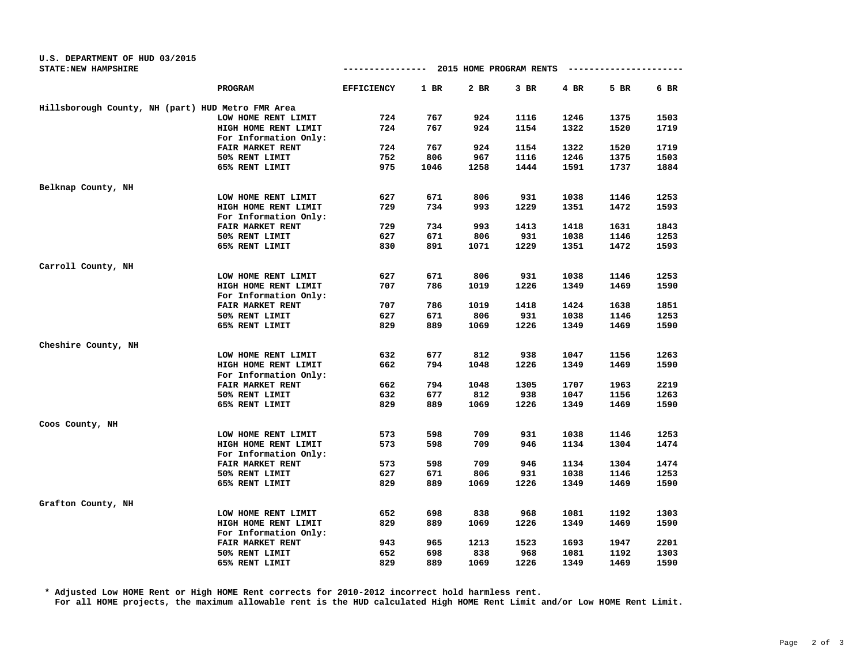|                                                   | PROGRAM               | <b>EFFICIENCY</b> | $1$ BR | 2 BR | $3$ BR | 4 BR | 5 BR | 6 BR |
|---------------------------------------------------|-----------------------|-------------------|--------|------|--------|------|------|------|
| Hillsborough County, NH (part) HUD Metro FMR Area |                       |                   |        |      |        |      |      |      |
|                                                   | LOW HOME RENT LIMIT   | 724               | 767    | 924  | 1116   | 1246 | 1375 | 1503 |
|                                                   | HIGH HOME RENT LIMIT  | 724               | 767    | 924  | 1154   | 1322 | 1520 | 1719 |
|                                                   | For Information Only: |                   |        |      |        |      |      |      |
|                                                   | FAIR MARKET RENT      | 724               | 767    | 924  | 1154   | 1322 | 1520 | 1719 |
|                                                   | 50% RENT LIMIT        | 752               | 806    | 967  | 1116   | 1246 | 1375 | 1503 |
|                                                   | 65% RENT LIMIT        | 975               | 1046   | 1258 | 1444   | 1591 | 1737 | 1884 |
| Belknap County, NH                                |                       |                   |        |      |        |      |      |      |
|                                                   | LOW HOME RENT LIMIT   | 627               | 671    | 806  | 931    | 1038 | 1146 | 1253 |
|                                                   | HIGH HOME RENT LIMIT  | 729               | 734    | 993  | 1229   | 1351 | 1472 | 1593 |
|                                                   | For Information Only: |                   |        |      |        |      |      |      |
|                                                   | FAIR MARKET RENT      | 729               | 734    | 993  | 1413   | 1418 | 1631 | 1843 |
|                                                   | 50% RENT LIMIT        | 627               | 671    | 806  | 931    | 1038 | 1146 | 1253 |
|                                                   | 65% RENT LIMIT        | 830               | 891    | 1071 | 1229   | 1351 | 1472 | 1593 |
| Carroll County, NH                                |                       |                   |        |      |        |      |      |      |
|                                                   | LOW HOME RENT LIMIT   | 627               | 671    | 806  | 931    | 1038 | 1146 | 1253 |
|                                                   | HIGH HOME RENT LIMIT  | 707               | 786    | 1019 | 1226   | 1349 | 1469 | 1590 |
|                                                   | For Information Only: |                   |        |      |        |      |      |      |
|                                                   | FAIR MARKET RENT      | 707               | 786    | 1019 | 1418   | 1424 | 1638 | 1851 |
|                                                   | 50% RENT LIMIT        | 627               | 671    | 806  | 931    | 1038 | 1146 | 1253 |
|                                                   | 65% RENT LIMIT        | 829               | 889    | 1069 | 1226   | 1349 | 1469 | 1590 |
| Cheshire County, NH                               |                       |                   |        |      |        |      |      |      |
|                                                   | LOW HOME RENT LIMIT   | 632               | 677    | 812  | 938    | 1047 | 1156 | 1263 |
|                                                   | HIGH HOME RENT LIMIT  | 662               | 794    | 1048 | 1226   | 1349 | 1469 | 1590 |
|                                                   | For Information Only: |                   |        |      |        |      |      |      |
|                                                   | FAIR MARKET RENT      | 662               | 794    | 1048 | 1305   | 1707 | 1963 | 2219 |
|                                                   | 50% RENT LIMIT        | 632               | 677    | 812  | 938    | 1047 | 1156 | 1263 |
|                                                   | 65% RENT LIMIT        | 829               | 889    | 1069 | 1226   | 1349 | 1469 | 1590 |
| Coos County, NH                                   |                       |                   |        |      |        |      |      |      |
|                                                   | LOW HOME RENT LIMIT   | 573               | 598    | 709  | 931    | 1038 | 1146 | 1253 |
|                                                   | HIGH HOME RENT LIMIT  | 573               | 598    | 709  | 946    | 1134 | 1304 | 1474 |
|                                                   | For Information Only: |                   |        |      |        |      |      |      |
|                                                   | FAIR MARKET RENT      | 573               | 598    | 709  | 946    | 1134 | 1304 | 1474 |
|                                                   | 50% RENT LIMIT        | 627               | 671    | 806  | 931    | 1038 | 1146 | 1253 |
|                                                   | 65% RENT LIMIT        | 829               | 889    | 1069 | 1226   | 1349 | 1469 | 1590 |
| Grafton County, NH                                |                       |                   |        |      |        |      |      |      |
|                                                   | LOW HOME RENT LIMIT   | 652               | 698    | 838  | 968    | 1081 | 1192 | 1303 |
|                                                   | HIGH HOME RENT LIMIT  | 829               | 889    | 1069 | 1226   | 1349 | 1469 | 1590 |
|                                                   | For Information Only: |                   |        |      |        |      |      |      |
|                                                   | FAIR MARKET RENT      | 943               | 965    | 1213 | 1523   | 1693 | 1947 | 2201 |
|                                                   | 50% RENT LIMIT        | 652               | 698    | 838  | 968    | 1081 | 1192 | 1303 |

**STATE:NEW HAMPSHIRE ---------------- 2015 HOME PROGRAM RENTS ----------------------**

**U.S. DEPARTMENT OF HUD 03/2015**

**\* Adjusted Low HOME Rent or High HOME Rent corrects for 2010-2012 incorrect hold harmless rent. For all HOME projects, the maximum allowable rent is the HUD calculated High HOME Rent Limit and/or Low HOME Rent Limit.**

**65% RENT LIMIT 829 889 1069 1226 1349 1469 1590**

**50% RENT LIMIT 652 698 838 968 1081 1192 1303**